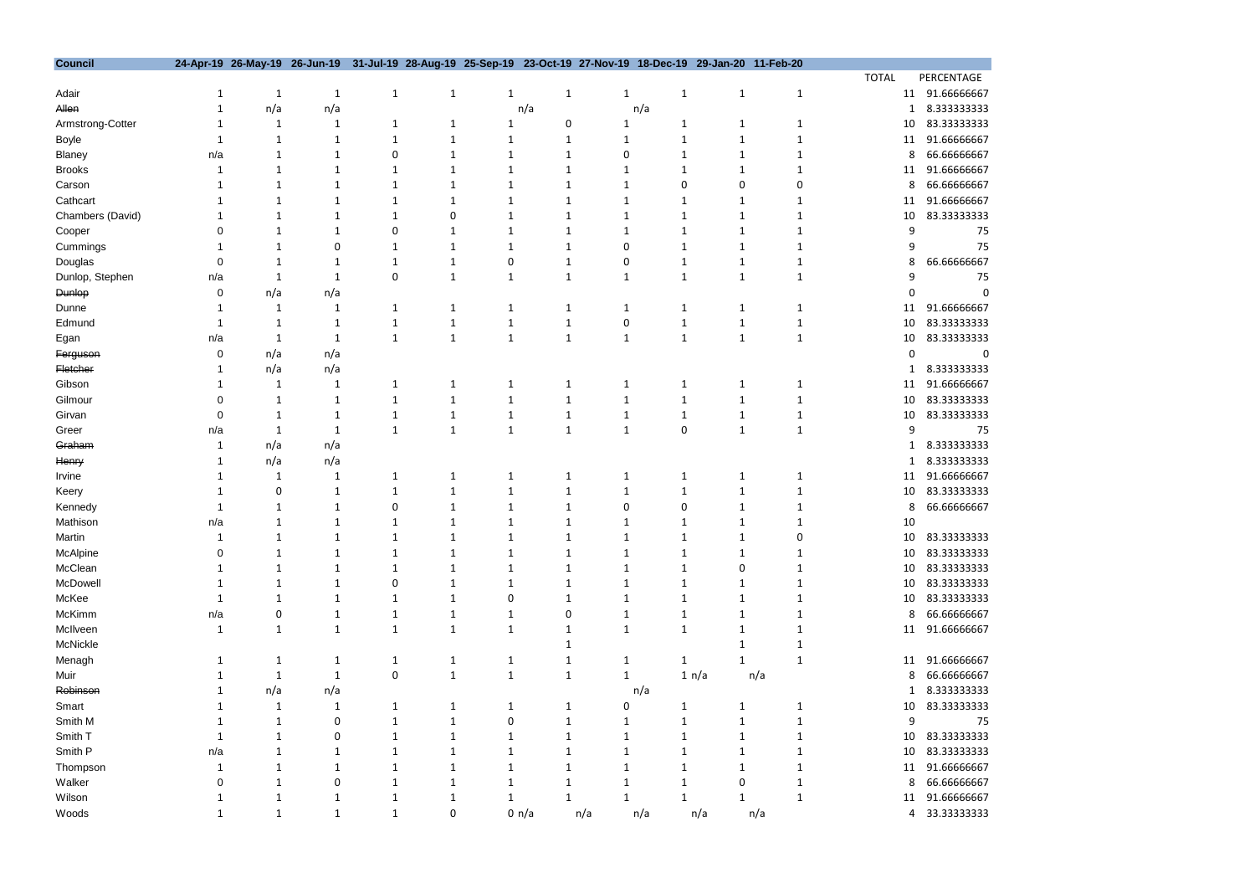| <b>Council</b>   |          | 24-Apr-19 26-May-19 26-Jun-19 31-Jul-19 28-Aug-19 25-Sep-19 23-Oct-19 27-Nov-19 18-Dec-19 29-Jan-20 11-Feb-20 |              |              |   |              |              |     |                              |              |              |              |    |             |
|------------------|----------|---------------------------------------------------------------------------------------------------------------|--------------|--------------|---|--------------|--------------|-----|------------------------------|--------------|--------------|--------------|----|-------------|
|                  |          |                                                                                                               |              |              |   |              |              |     |                              |              |              | <b>TOTAL</b> |    | PERCENTAGE  |
| Adair            |          | 1                                                                                                             | $\mathbf{1}$ | $\mathbf{1}$ | 1 | $\mathbf{1}$ | $\mathbf{1}$ |     | $\mathbf{1}$<br>$\mathbf{1}$ | $\mathbf{1}$ | $\mathbf{1}$ |              | 11 | 91.66666667 |
| Allen            |          | n/a                                                                                                           | n/a          |              |   |              | n/a          |     | n/a                          |              |              |              |    | 8.333333333 |
| Armstrong-Cotter |          |                                                                                                               | 1            | 1            | 1 |              |              | 0   | 1                            | 1            |              |              | 10 | 83.33333333 |
| Boyle            |          |                                                                                                               |              |              |   |              |              |     |                              | 1            |              |              | 11 | 91.66666667 |
| Blaney           | n/a      |                                                                                                               |              | 0            |   |              |              |     |                              |              |              |              | 8  | 66.66666667 |
| <b>Brooks</b>    |          |                                                                                                               |              |              |   |              |              |     |                              |              |              |              | 11 | 91.66666667 |
| Carson           |          |                                                                                                               |              |              |   |              |              |     | Ω                            | 0            |              |              | 8  | 66.6666667  |
| Cathcart         |          |                                                                                                               |              |              |   |              |              |     |                              | 1            |              |              | 11 | 91.66666667 |
| Chambers (David) |          |                                                                                                               |              |              | 0 |              |              |     |                              | 1            |              |              | 10 | 83.33333333 |
| Cooper           |          |                                                                                                               |              |              |   |              |              |     |                              |              |              |              | 9  | 75          |
| Cummings         |          |                                                                                                               | 0            |              |   |              |              |     |                              |              |              |              |    | 75          |
| Douglas          | $\Omega$ |                                                                                                               |              |              |   | 0            |              | 0   |                              |              |              |              | 8  | 66.6666667  |
| Dunlop, Stephen  | n/a      |                                                                                                               | -1           | 0            |   | $\mathbf{1}$ | 1            |     |                              | 1            |              |              |    | 75          |
| <b>Dunlop</b>    | 0        | n/a                                                                                                           | n/a          |              |   |              |              |     |                              |              |              |              |    |             |
| Dunne            |          |                                                                                                               | 1            |              |   |              | 1            |     |                              | 1            |              |              | 11 | 91.66666667 |
| Edmund           |          |                                                                                                               | 1            |              |   | 1            | 1            |     | 0                            | 1            |              |              | 10 | 83.33333333 |
| Egan             | n/a      |                                                                                                               | 1            | $\mathbf{1}$ | 1 | $\mathbf{1}$ | $\mathbf{1}$ |     | 1<br>1                       | $\mathbf{1}$ |              |              | 10 | 83.33333333 |
| Ferguson         | 0        | n/a                                                                                                           | n/a          |              |   |              |              |     |                              |              |              |              | 0  |             |
| Fletcher         |          | n/a                                                                                                           | n/a          |              |   |              |              |     |                              |              |              |              |    | 8.333333333 |
| Gibson           |          |                                                                                                               | 1            |              |   |              | 1            |     |                              |              |              |              | 11 | 91.66666667 |
| Gilmour          |          |                                                                                                               | 1            | 1            |   |              |              | 1   | 1                            | 1            |              |              | 10 | 83.33333333 |
| Girvan           |          |                                                                                                               |              |              |   | 1            |              |     |                              |              |              |              | 10 | 83.33333333 |
| Greer            | n/a      |                                                                                                               | $\mathbf{1}$ | $\mathbf{1}$ |   | 1            | 1            | 1   | 0                            | 1            |              |              | 9  | 75          |
| Graham           |          | n/a                                                                                                           | n/a          |              |   |              |              |     |                              |              |              |              |    | 8.333333333 |
| Henry            |          | n/a                                                                                                           | n/a          |              |   |              |              |     |                              |              |              |              |    | 8.333333333 |
| Irvine           |          |                                                                                                               | 1            | 1            |   | 1            | 1            |     | 1<br>1                       | 1            |              |              | 11 | 91.66666667 |
| Keery            |          | 0                                                                                                             |              |              |   |              |              |     |                              |              |              |              | 10 | 83.33333333 |
| Kennedy          |          |                                                                                                               |              |              |   |              |              |     | 0                            | 1            |              |              | 8  | 66.66666667 |
| Mathison         | n/a      |                                                                                                               | 1            |              |   | 1            | 1            |     | 1                            | 1            |              |              | 10 |             |
| Martin           |          |                                                                                                               | -1           | 1            |   | -1           | 1            |     |                              |              |              |              | 10 | 83.33333333 |
| McAlpine         |          |                                                                                                               |              |              |   |              |              |     |                              | 1            |              |              | 10 | 83.33333333 |
| McClean          |          |                                                                                                               |              |              |   |              |              |     |                              | ∩            |              |              | 10 | 83.33333333 |
| McDowell         |          |                                                                                                               |              |              |   |              |              |     |                              |              |              |              | 10 | 83.33333333 |
| McKee            |          |                                                                                                               |              |              |   | n            |              |     |                              |              |              |              | 10 | 83.33333333 |
| McKimm           | n/a      |                                                                                                               |              |              |   | -1           |              |     |                              |              |              |              | 8  | 66.66666667 |
| McIlveen         |          |                                                                                                               | 1            | $\mathbf{1}$ | 1 | $\mathbf{1}$ |              |     |                              |              |              |              | 11 | 91.66666667 |
| McNickle         |          |                                                                                                               |              |              |   |              |              |     |                              |              |              |              |    |             |
| Menagh           |          |                                                                                                               | 1            | 1            | 1 | 1            |              |     | 1<br>1                       |              |              |              | 11 | 91.66666667 |
| Muir             |          |                                                                                                               | -1           | 0            | 1 | 1            | 1            |     | 1                            | 1 n/a        |              |              | 8  | 66.66666667 |
| Robinson         |          |                                                                                                               |              |              |   |              |              |     | n/a                          |              | n/a          |              |    | 8.333333333 |
| Smart            |          | n/a                                                                                                           | n/a<br>-1    |              |   | -1           |              |     |                              |              |              |              |    | 83.33333333 |
|                  |          |                                                                                                               |              |              |   |              |              |     |                              | 1            |              |              | 10 |             |
| Smith M          |          |                                                                                                               | 0            |              |   |              |              |     |                              |              |              |              | 9  | 75          |
| Smith T          |          |                                                                                                               | 0            |              |   |              |              |     |                              |              |              |              | 10 | 83.33333333 |
| Smith P          | n/a      |                                                                                                               |              |              |   |              |              |     |                              |              |              |              | 10 | 83.33333333 |
| Thompson         |          |                                                                                                               | 1            |              |   |              |              |     |                              | 1            |              |              | 11 | 91.66666667 |
| Walker           |          |                                                                                                               | 0            |              |   | -1           |              |     |                              | 0            |              |              | 8  | 66.6666667  |
| Wilson           |          |                                                                                                               |              |              |   |              |              |     |                              |              |              |              | 11 | 91.66666667 |
| Woods            |          | 1                                                                                                             | 1            | 1            | 0 |              | 0 n/a        | n/a | n/a                          | n/a          | n/a          |              | 4  | 33.33333333 |

ENTAGE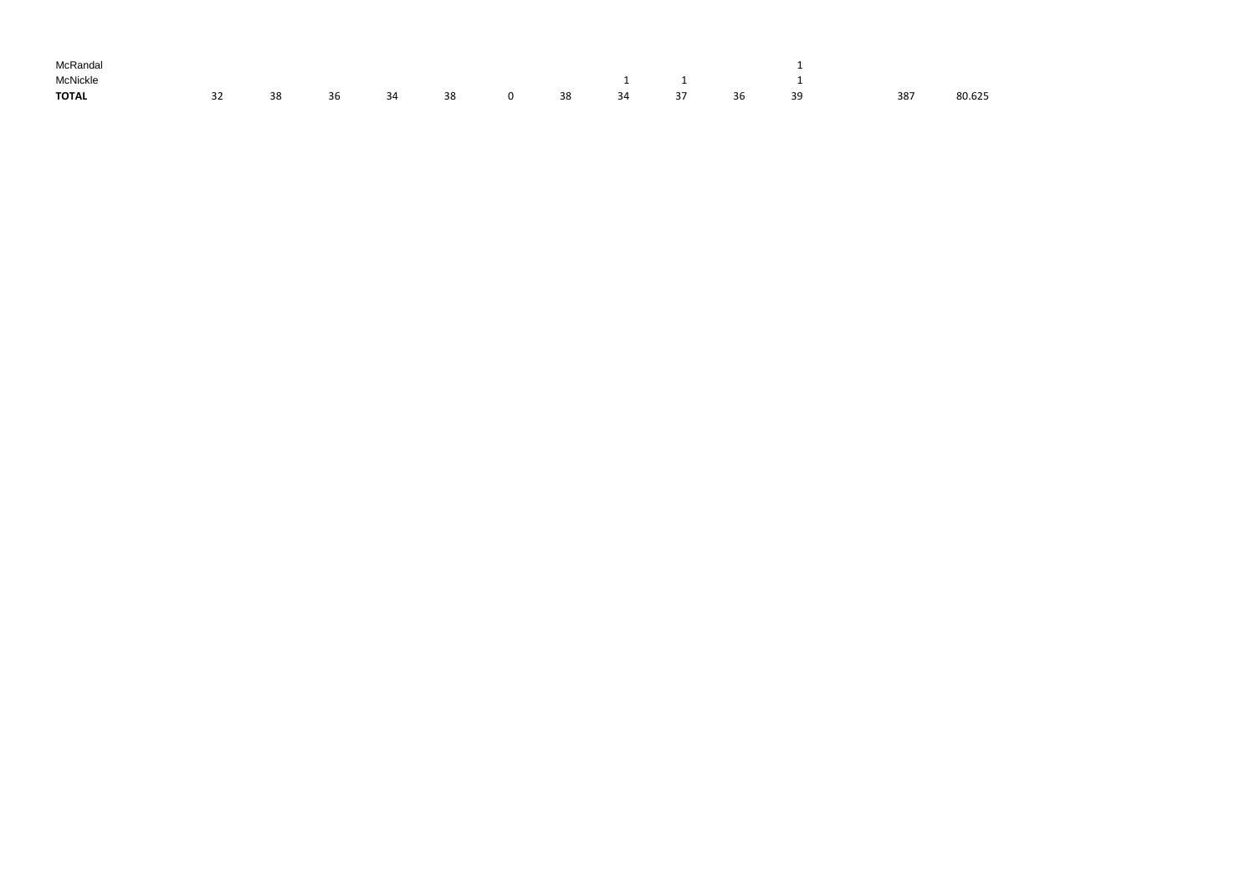| McRandal     |    |    |  |                     |  |  |    |                                     |     |        |
|--------------|----|----|--|---------------------|--|--|----|-------------------------------------|-----|--------|
| McNickle     |    |    |  |                     |  |  |    | $1 \qquad \qquad 1 \qquad \qquad 1$ |     |        |
| <b>TOTAL</b> | 32 | 38 |  | 36 34 38 0 38 34 37 |  |  | 36 | - 39                                | 387 | 80.625 |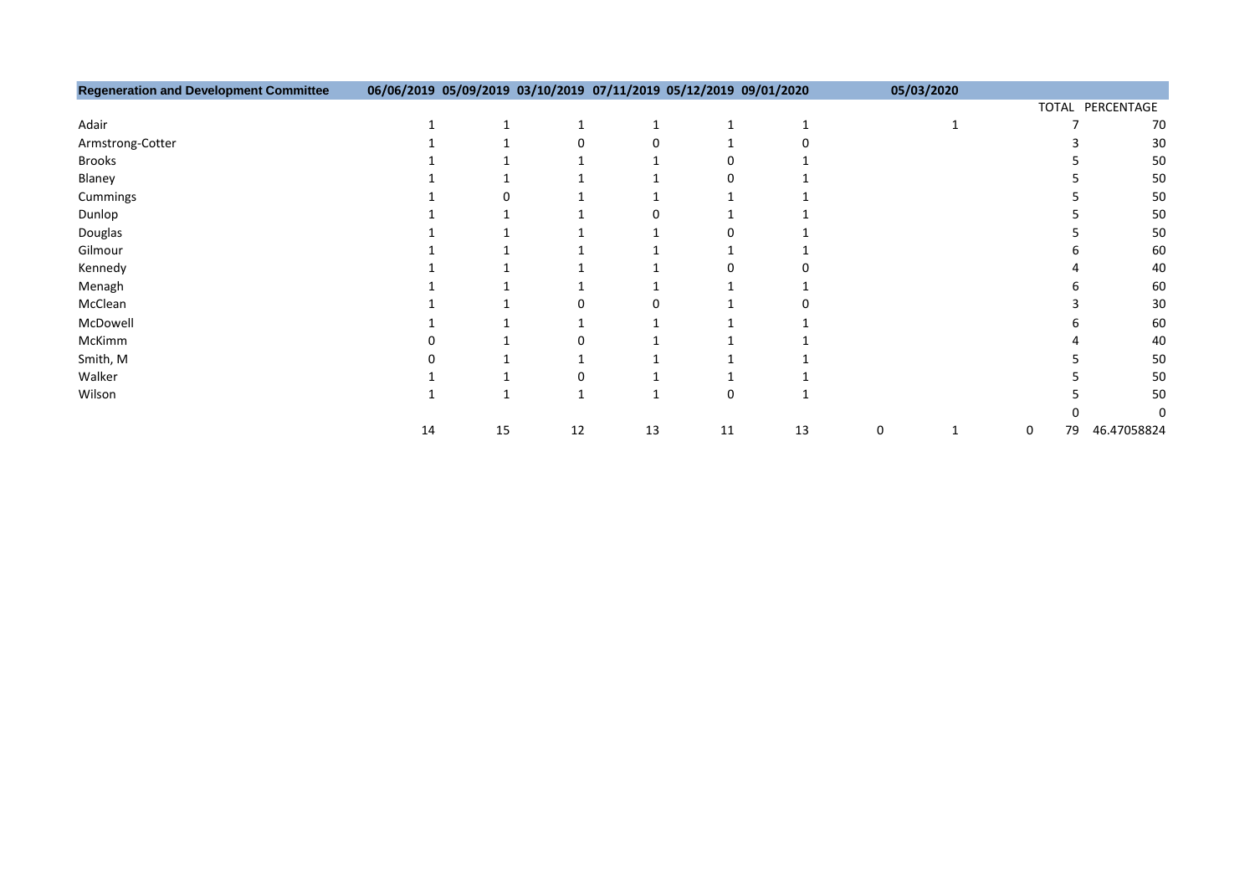| <b>Regeneration and Development Committee</b> | 06/06/2019 05/09/2019 03/10/2019 07/11/2019 05/12/2019 09/01/2020 |    |    |    |    |    |   | 05/03/2020 |   |    |                  |
|-----------------------------------------------|-------------------------------------------------------------------|----|----|----|----|----|---|------------|---|----|------------------|
|                                               |                                                                   |    |    |    |    |    |   |            |   |    | TOTAL PERCENTAGE |
| Adair                                         |                                                                   |    |    |    |    |    |   |            |   |    | 70               |
| Armstrong-Cotter                              |                                                                   |    |    |    |    |    |   |            |   |    | 30               |
| <b>Brooks</b>                                 |                                                                   |    |    |    |    |    |   |            |   |    | 50               |
| Blaney                                        |                                                                   |    |    |    |    |    |   |            |   |    | 50               |
| Cummings                                      |                                                                   |    |    |    |    |    |   |            |   |    | 50               |
| Dunlop                                        |                                                                   |    |    |    |    |    |   |            |   |    | 50               |
| Douglas                                       |                                                                   |    |    |    |    |    |   |            |   |    | 50               |
| Gilmour                                       |                                                                   |    |    |    |    |    |   |            |   |    | 60               |
| Kennedy                                       |                                                                   |    |    |    |    |    |   |            |   |    | 40               |
| Menagh                                        |                                                                   |    |    |    |    |    |   |            |   |    | 60               |
| McClean                                       |                                                                   |    |    |    |    |    |   |            |   |    | 30               |
| McDowell                                      |                                                                   |    |    |    |    |    |   |            |   |    | 60               |
| McKimm                                        |                                                                   |    |    |    |    |    |   |            |   |    | 40               |
| Smith, M                                      |                                                                   |    |    |    |    |    |   |            |   |    | 50               |
| Walker                                        |                                                                   |    |    |    |    |    |   |            |   |    | 50               |
| Wilson                                        |                                                                   |    |    |    | 0  |    |   |            |   |    | 50               |
|                                               |                                                                   |    |    |    |    |    |   |            |   |    |                  |
|                                               | 14                                                                | 15 | 12 | 13 | 11 | 13 | 0 |            | 0 | 79 | 46.47058824      |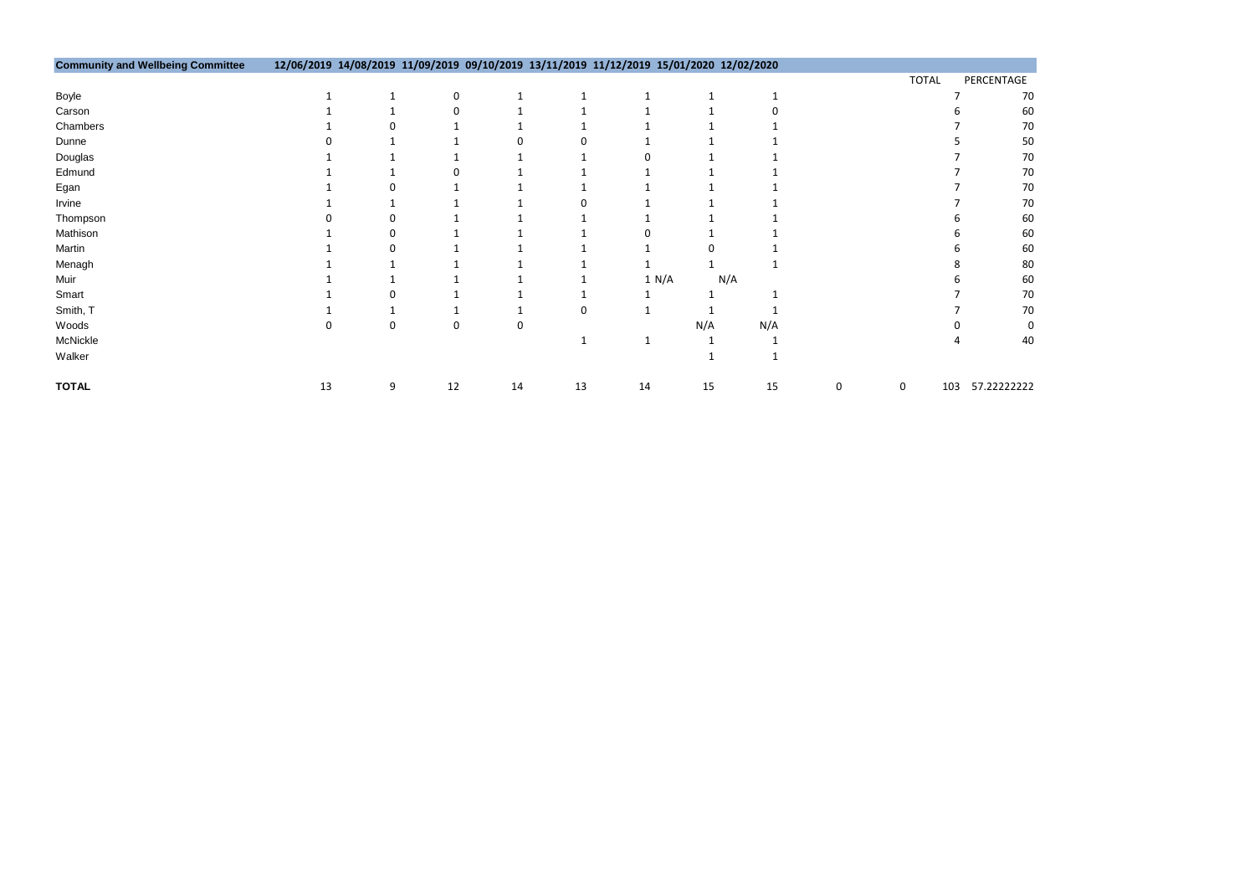| <b>TOTAL</b> | PERCENTAGE |    |
|--------------|------------|----|
|              | 7          | 70 |
|              | 6          | 60 |
|              | 7          | 70 |
|              | 5          | 50 |
|              | 7          | 70 |
|              | 7          | 70 |
|              | 7          | 70 |
|              | 7          | 70 |
|              | 6          | 60 |
|              | 6          | 60 |
|              | 6          | 60 |
|              | 8          | 80 |
|              | 6          | 60 |
|              | 7          | 70 |
|              | 7          | 70 |
|              | 0          | 0  |
|              | 4          | 40 |
|              |            |    |

| <b>Community and Wellbeing Committee</b> | 12/06/2019 14/08/2019 11/09/2019 09/10/2019 13/11/2019 11/12/2019 15/01/2020 12/02/2020 |   |    |    |    |    |       |     |   |              |             |
|------------------------------------------|-----------------------------------------------------------------------------------------|---|----|----|----|----|-------|-----|---|--------------|-------------|
|                                          |                                                                                         |   |    |    |    |    |       |     |   | <b>TOTAL</b> | PERCENTAGE  |
| Boyle                                    |                                                                                         |   | 0  |    |    |    |       |     |   |              | 70          |
| Carson                                   |                                                                                         |   |    |    |    |    |       |     |   |              | 60          |
| Chambers                                 |                                                                                         |   |    |    |    |    |       |     |   |              | 70          |
| Dunne                                    |                                                                                         |   |    |    |    |    |       |     |   |              | 50          |
| Douglas                                  |                                                                                         |   |    |    |    |    |       |     |   |              | 70          |
| Edmund                                   |                                                                                         |   |    |    |    |    |       |     |   |              | <b>70</b>   |
| Egan                                     |                                                                                         |   |    |    |    |    |       |     |   |              | 70          |
| Irvine                                   |                                                                                         |   |    |    |    |    |       |     |   |              | <b>70</b>   |
| Thompson                                 |                                                                                         |   |    |    |    |    |       |     |   |              | 60          |
| Mathison                                 |                                                                                         |   |    |    |    |    |       |     |   |              | 60          |
| Martin                                   |                                                                                         |   |    |    |    |    |       |     |   |              | 60          |
| Menagh                                   |                                                                                         |   |    |    |    |    |       |     |   |              | 80          |
| Muir                                     |                                                                                         |   |    |    |    |    | 1 N/A | N/A |   |              | 60          |
| Smart                                    |                                                                                         |   |    |    |    |    |       |     |   |              | 70          |
| Smith, T                                 |                                                                                         |   |    |    | 0  |    |       |     |   |              | 70          |
| Woods                                    |                                                                                         |   | 0  | 0  |    |    | N/A   | N/A |   |              |             |
| McNickle                                 |                                                                                         |   |    |    |    |    |       |     |   |              | 40          |
| Walker                                   |                                                                                         |   |    |    |    |    |       |     |   |              |             |
| <b>TOTAL</b>                             | 13                                                                                      | 9 | 12 | 14 | 13 | 14 | 15    | 15  | 0 | 103<br>0     | 57.22222222 |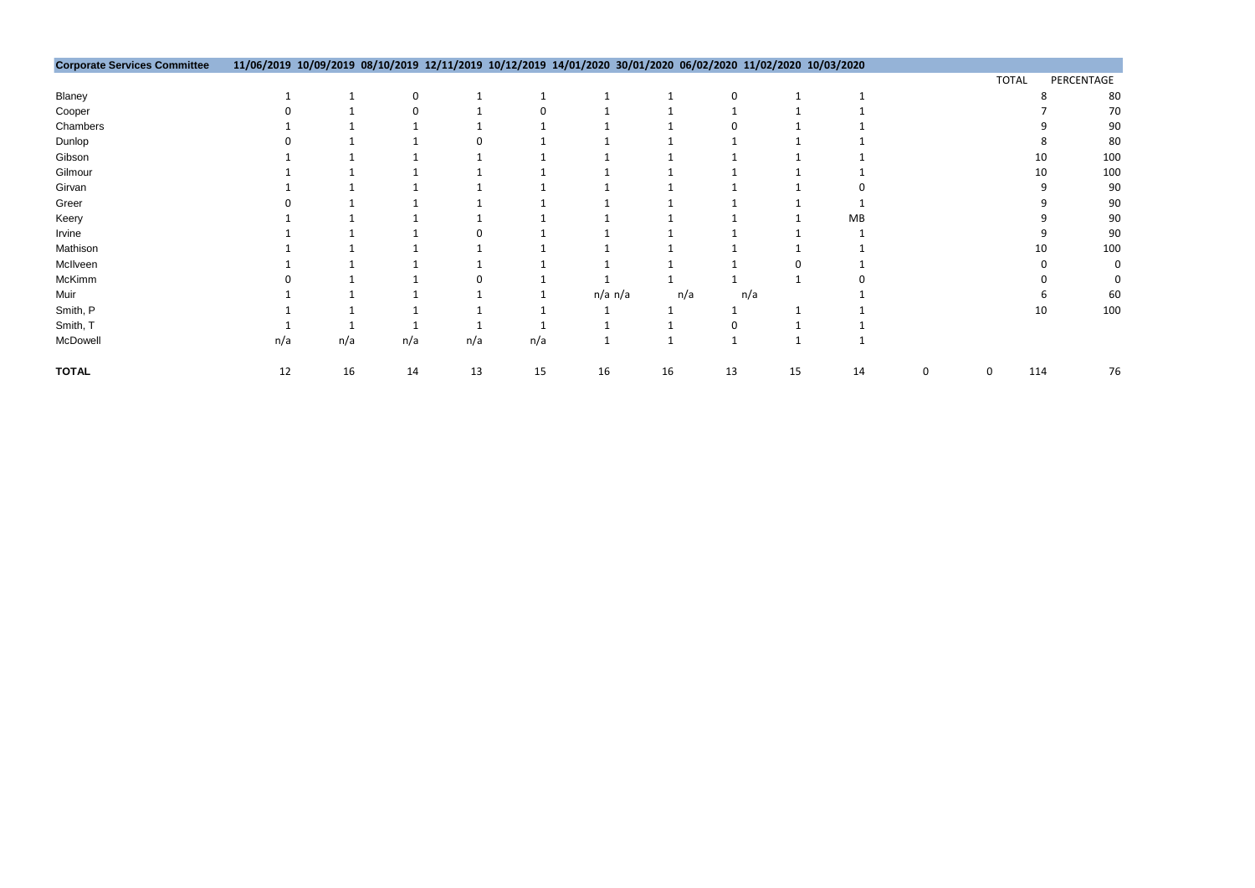| <b>TOTAL</b> | PERCENTAGE |
|--------------|------------|
| 8            | 80         |
| 7            | 70         |
| 9            | 90         |
| 8            | 80         |
| 10           | 100        |
| 10           | 100        |
| 9            | 90         |
| 9            | 90         |
| 9            | 90         |
| 9            | 90         |
| 10           | 100        |
| 0            | 0          |
| 0            | 0          |
| 6            | 60         |
| 10           | 100        |
|              |            |

| <b>Corporate Services Committee</b> | 11/06/2019 10/09/2019 08/10/2019 12/11/2019 10/12/2019 14/01/2020 30/01/2020 06/02/2020 11/02/2020 10/03/2020 |     |     |     |     |         |     |     |    |    |   |              |                 |
|-------------------------------------|---------------------------------------------------------------------------------------------------------------|-----|-----|-----|-----|---------|-----|-----|----|----|---|--------------|-----------------|
|                                     |                                                                                                               |     |     |     |     |         |     |     |    |    |   | <b>TOTAL</b> | PERCENTAGE      |
| Blaney                              |                                                                                                               |     | 0   |     |     |         |     |     |    |    |   |              | 80              |
| Cooper                              |                                                                                                               |     |     |     |     |         |     |     |    |    |   |              | 70              |
| Chambers                            |                                                                                                               |     |     |     |     |         |     |     |    |    |   |              | <b>90</b>       |
| Dunlop                              |                                                                                                               |     |     |     |     |         |     |     |    |    |   |              | 80              |
| Gibson                              |                                                                                                               |     |     |     |     |         |     |     |    |    |   | 10           | 100             |
| Gilmour                             |                                                                                                               |     |     |     |     |         |     |     |    |    |   | 10           | 100             |
| Girvan                              |                                                                                                               |     |     |     |     |         |     |     |    |    |   |              | 90              |
| Greer                               |                                                                                                               |     |     |     |     |         |     |     |    |    |   |              | <b>90</b>       |
| Keery                               |                                                                                                               |     |     |     |     |         |     |     |    | MB |   |              | 9C              |
| Irvine                              |                                                                                                               |     |     |     |     |         |     |     |    |    |   |              | 90              |
| Mathison                            |                                                                                                               |     |     |     |     |         |     |     |    |    |   | 10           | 10 <sub>C</sub> |
| McIlveen                            |                                                                                                               |     |     |     |     |         |     |     |    |    |   |              |                 |
| McKimm                              |                                                                                                               |     |     |     |     |         |     |     |    |    |   |              |                 |
| Muir                                |                                                                                                               |     |     |     |     | n/a n/a | n/a | n/a |    |    |   |              | 60              |
| Smith, P                            |                                                                                                               |     |     |     |     |         |     |     |    |    |   | 10           | 100             |
| Smith, T                            |                                                                                                               |     |     |     |     |         |     |     |    |    |   |              |                 |
| McDowell                            | n/a                                                                                                           | n/a | n/a | n/a | n/a |         |     |     |    |    |   |              |                 |
| <b>TOTAL</b>                        | 12                                                                                                            | 16  | 14  | 13  | 15  | 16      | 16  | 13  | 15 | 14 | 0 | 114          | 76              |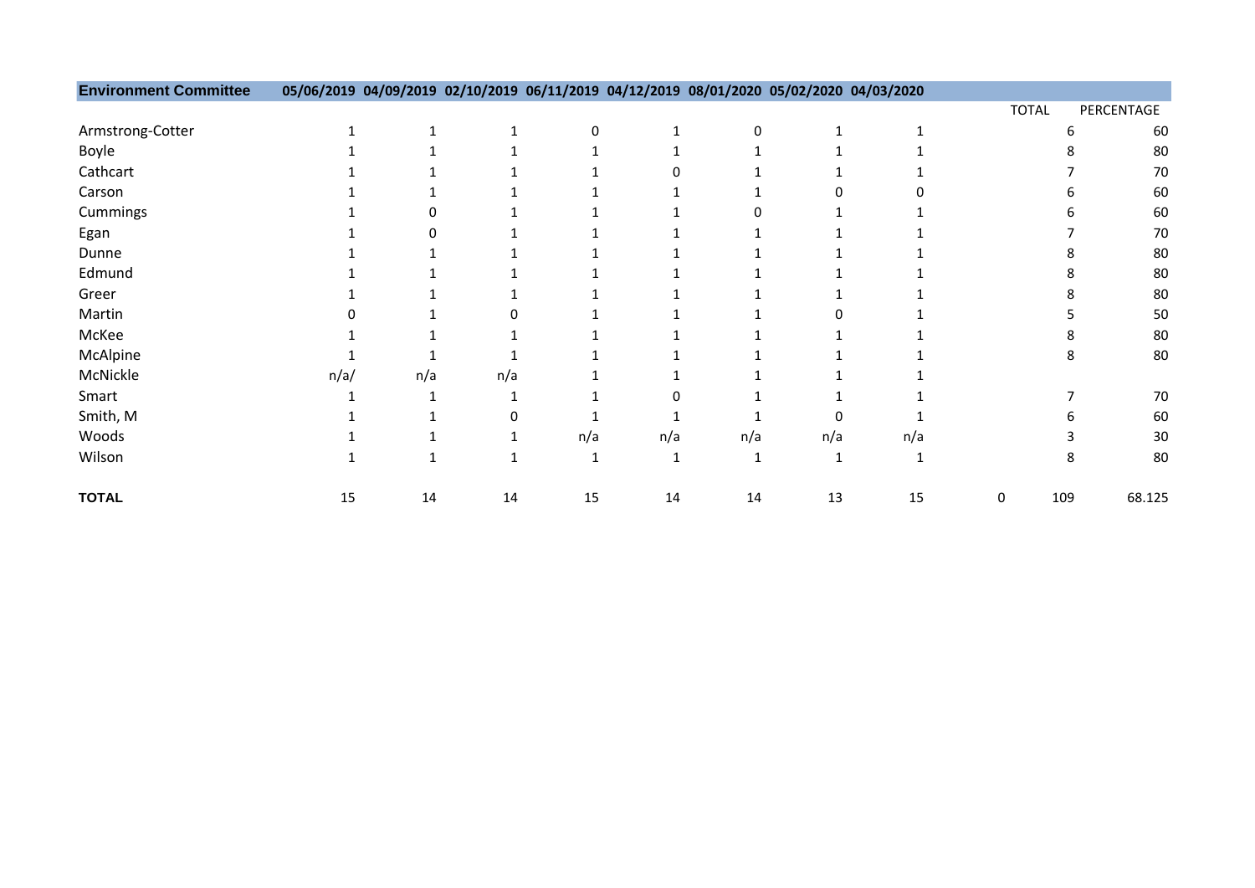| <b>Environment Committee</b> |      |     |     | 05/06/2019 04/09/2019 02/10/2019 06/11/2019 04/12/2019 08/01/2020 05/02/2020 04/03/2020 |     |     |     |     |              |     |            |
|------------------------------|------|-----|-----|-----------------------------------------------------------------------------------------|-----|-----|-----|-----|--------------|-----|------------|
|                              |      |     |     |                                                                                         |     |     |     |     | <b>TOTAL</b> |     | PERCENTAGE |
| Armstrong-Cotter             |      |     |     | n                                                                                       |     | 0   |     |     |              |     | 60         |
| Boyle                        |      |     |     |                                                                                         |     |     |     |     |              |     | 80         |
| Cathcart                     |      |     |     |                                                                                         |     |     |     |     |              |     | 70         |
| Carson                       |      |     |     |                                                                                         |     |     |     |     |              |     | 60         |
| Cummings                     |      |     |     |                                                                                         |     |     |     |     |              |     | 60         |
| Egan                         |      |     |     |                                                                                         |     |     |     |     |              |     | 70         |
| Dunne                        |      |     |     |                                                                                         |     |     |     |     |              |     | 80         |
| Edmund                       |      |     |     |                                                                                         |     |     |     |     |              |     | 80         |
| Greer                        |      |     |     |                                                                                         |     |     |     |     |              |     | 80         |
| Martin                       |      |     |     |                                                                                         |     |     |     |     |              |     | 50         |
| McKee                        |      |     |     |                                                                                         |     |     |     |     |              |     | 80         |
| McAlpine                     |      |     |     |                                                                                         |     |     |     |     |              |     | 80         |
| McNickle                     | n/a/ | n/a | n/a |                                                                                         |     |     |     |     |              |     |            |
| Smart                        |      |     |     |                                                                                         |     |     |     |     |              |     | 70         |
| Smith, M                     |      |     |     |                                                                                         |     |     |     |     |              |     | 60         |
| Woods                        |      |     |     | n/a                                                                                     | n/a | n/a | n/a | n/a |              |     | 30         |
| Wilson                       |      |     |     |                                                                                         |     |     |     |     |              |     | 80         |
| <b>TOTAL</b>                 | 15   | 14  | 14  | 15                                                                                      | 14  | 14  | 13  | 15  | 0            | 109 | 68.125     |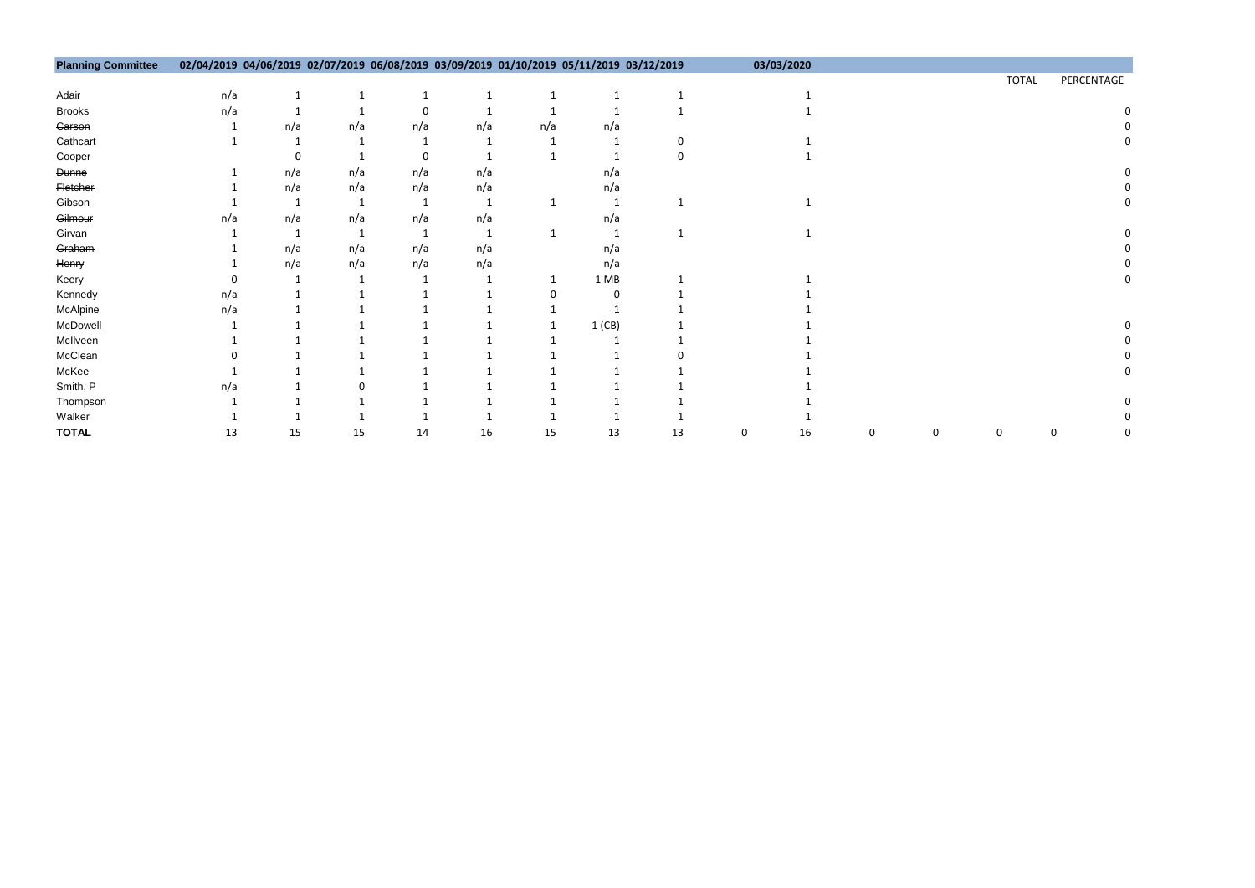| <b>Planning Committee</b> |     |     |     |     |     |     | 02/04/2019 04/06/2019 02/07/2019 06/08/2019 03/09/2019 01/10/2019 05/11/2019 03/12/2019 |    |   | 03/03/2020 |   |   |              |   |            |
|---------------------------|-----|-----|-----|-----|-----|-----|-----------------------------------------------------------------------------------------|----|---|------------|---|---|--------------|---|------------|
|                           |     |     |     |     |     |     |                                                                                         |    |   |            |   |   | <b>TOTAL</b> |   | PERCENTAGE |
| Adair                     | n/a |     |     |     |     |     |                                                                                         |    |   |            |   |   |              |   |            |
| <b>Brooks</b>             | n/a |     |     |     |     |     |                                                                                         |    |   |            |   |   |              |   |            |
| Garson                    |     | n/a | n/a | n/a | n/a | n/a | n/a                                                                                     |    |   |            |   |   |              |   |            |
| Cathcart                  |     |     |     |     |     |     |                                                                                         |    |   |            |   |   |              |   |            |
| Cooper                    |     |     |     |     |     |     |                                                                                         |    |   |            |   |   |              |   |            |
| <b>Dunne</b>              |     | n/a | n/a | n/a | n/a |     | n/a                                                                                     |    |   |            |   |   |              |   |            |
| Fletcher                  |     | n/a | n/a | n/a | n/a |     | n/a                                                                                     |    |   |            |   |   |              |   |            |
| Gibson                    |     |     |     |     |     |     |                                                                                         |    |   |            |   |   |              |   |            |
| Gilmour                   | n/a | n/a | n/a | n/a | n/a |     | n/a                                                                                     |    |   |            |   |   |              |   |            |
| Girvan                    |     |     |     |     |     |     |                                                                                         |    |   |            |   |   |              |   |            |
| Graham                    |     | n/a | n/a | n/a | n/a |     | n/a                                                                                     |    |   |            |   |   |              |   |            |
| Henry                     |     | n/a | n/a | n/a | n/a |     | n/a                                                                                     |    |   |            |   |   |              |   |            |
| Keery                     |     |     |     |     |     |     | 1MB                                                                                     |    |   |            |   |   |              |   |            |
| Kennedy                   | n/a |     |     |     |     |     |                                                                                         |    |   |            |   |   |              |   |            |
| McAlpine                  | n/a |     |     |     |     |     |                                                                                         |    |   |            |   |   |              |   |            |
| McDowell                  |     |     |     |     |     |     | 1(CB)                                                                                   |    |   |            |   |   |              |   |            |
| McIlveen                  |     |     |     |     |     |     |                                                                                         |    |   |            |   |   |              |   |            |
| McClean                   |     |     |     |     |     |     |                                                                                         |    |   |            |   |   |              |   |            |
| McKee                     |     |     |     |     |     |     |                                                                                         |    |   |            |   |   |              |   |            |
| Smith, P                  | n/a |     |     |     |     |     |                                                                                         |    |   |            |   |   |              |   |            |
| Thompson                  |     |     |     |     |     |     |                                                                                         |    |   |            |   |   |              |   |            |
| Walker                    |     |     |     |     |     |     |                                                                                         |    |   |            |   |   |              |   |            |
| <b>TOTAL</b>              | 13  | 15  | 15  | 14  | 16  | 15  | 13                                                                                      | 13 | 0 | 16         | 0 | 0 | 0            | 0 |            |

|   |   | <b>TOTAL</b> | PERCENTAGE |                            |
|---|---|--------------|------------|----------------------------|
|   |   |              |            |                            |
|   |   |              |            | $\mathbf{0}$               |
|   |   |              |            | $\mathbf 0$                |
|   |   |              |            | $\overline{0}$             |
|   |   |              |            |                            |
|   |   |              |            | $\mathbf 0$                |
|   |   |              |            | $\mathbf 0$                |
|   |   |              |            | $\mathbf 0$                |
|   |   |              |            |                            |
|   |   |              |            | $\mathbf 0$<br>$\mathbf 0$ |
|   |   |              |            | $\mathbf{0}$               |
|   |   |              |            | 0                          |
|   |   |              |            |                            |
|   |   |              |            |                            |
|   |   |              |            | $\mathbf 0$                |
|   |   |              |            | $\mathbf 0$                |
|   |   |              |            | $\mathbf 0$                |
|   |   |              |            | $\overline{0}$             |
|   |   |              |            |                            |
|   |   |              |            | 0                          |
|   |   |              |            | $\mathbf 0$                |
| 0 | 0 |              | 0          | 0                          |
|   |   |              |            |                            |